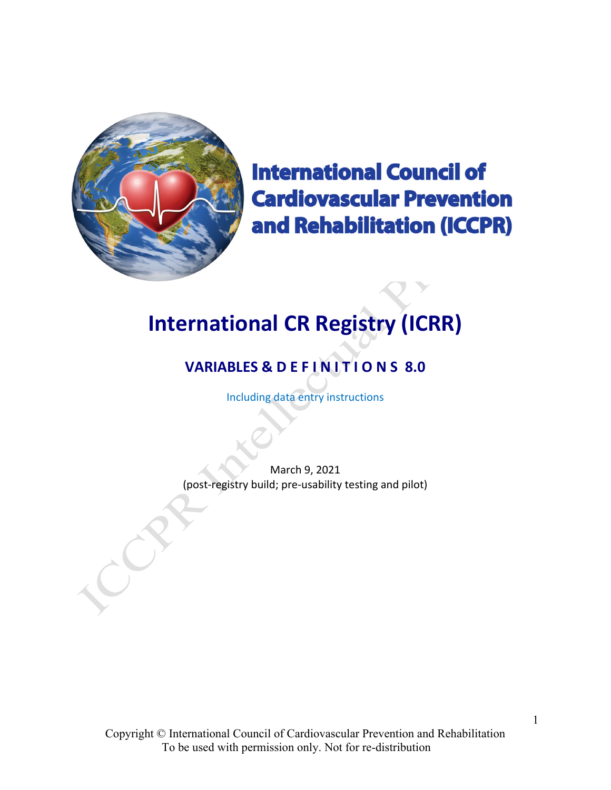

**International Council of Cardiovascular Prevention** and Rehabilitation (ICCPR)

# **International CR Registry (ICRR)**

# **VARIABLES & D E F I N I T I O N S 8.0**

Including data entry instructions

March 9, 2021 (post‐registry build; pre‐usability testing and pilot)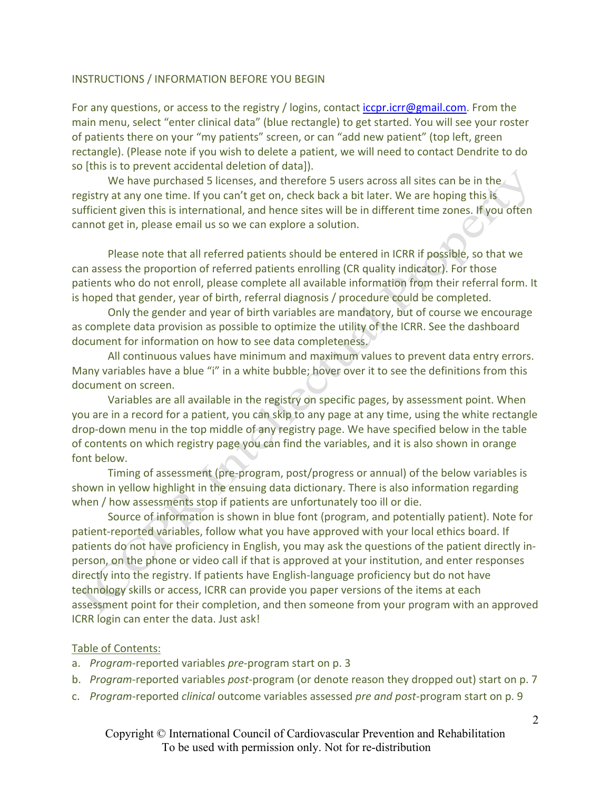#### INSTRUCTIONS / INFORMATION BEFORE YOU BEGIN

For any questions, or access to the registry / logins, contact *iccpr.icrr@gmail.com*. From the main menu, select "enter clinical data" (blue rectangle) to get started. You will see your roster of patients there on your "my patients" screen, or can "add new patient" (top left, green rectangle). (Please note if you wish to delete a patient, we will need to contact Dendrite to do so [this is to prevent accidental deletion of data]).

We have purchased 5 licenses, and therefore 5 users across all sites can be in the registry at any one time. If you can't get on, check back a bit later. We are hoping this is sufficient given this is international, and hence sites will be in different time zones. If you often cannot get in, please email us so we can explore a solution.

Please note that all referred patients should be entered in ICRR if possible, so that we can assess the proportion of referred patients enrolling (CR quality indicator). For those patients who do not enroll, please complete all available information from their referral form. It is hoped that gender, year of birth, referral diagnosis / procedure could be completed.

Only the gender and year of birth variables are mandatory, but of course we encourage as complete data provision as possible to optimize the utility of the ICRR. See the dashboard document for information on how to see data completeness.

All continuous values have minimum and maximum values to prevent data entry errors. Many variables have a blue "i" in a white bubble; hover over it to see the definitions from this document on screen.

Variables are all available in the registry on specific pages, by assessment point. When you are in a record for a patient, you can skip to any page at any time, using the white rectangle drop‐down menu in the top middle of any registry page. We have specified below in the table of contents on which registry page you can find the variables, and it is also shown in orange font below.

Timing of assessment (pre‐program, post/progress or annual) of the below variables is shown in yellow highlight in the ensuing data dictionary. There is also information regarding when / how assessments stop if patients are unfortunately too ill or die.

Source of information is shown in blue font (program, and potentially patient). Note for patient-reported variables, follow what you have approved with your local ethics board. If patients do not have proficiency in English, you may ask the questions of the patient directly in‐ person, on the phone or video call if that is approved at your institution, and enter responses directly into the registry. If patients have English‐language proficiency but do not have technology skills or access, ICRR can provide you paper versions of the items at each assessment point for their completion, and then someone from your program with an approved ICRR login can enter the data. Just ask!

#### Table of Contents:

- a. *Program*‐reported variables *pre*‐program start on p. 3
- b. *Program*‐reported variables *post*‐program (or denote reason they dropped out) start on p. 7
- c. *Program*‐reported *clinical* outcome variables assessed *pre and post*‐program start on p. 9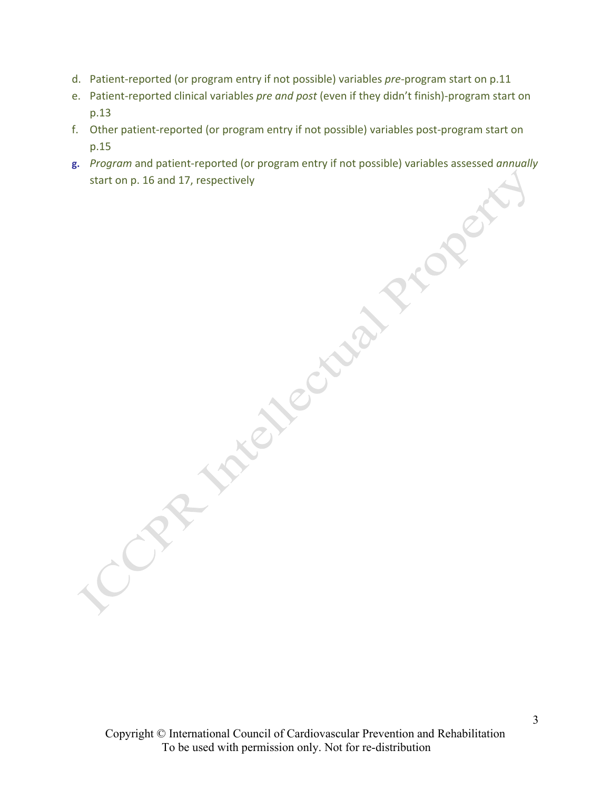- d. Patient‐reported (or program entry if not possible) variables *pre*‐program start on p.11
- e. Patient‐reported clinical variables *pre and post* (even if they didn't finish)‐program start on p.13
- p.15
- f. Other patient-reported (or program entry if not possible) variables post-program start on<br>p.15<br>p. Program and patient-reported (or program entry if not possible) variables assessed annually<br>start on p.16 and 17, respect **g.** *Program* and patient‐reported (or program entry if not possible) variables assessed *annually* start on p. 16 and 17, respectively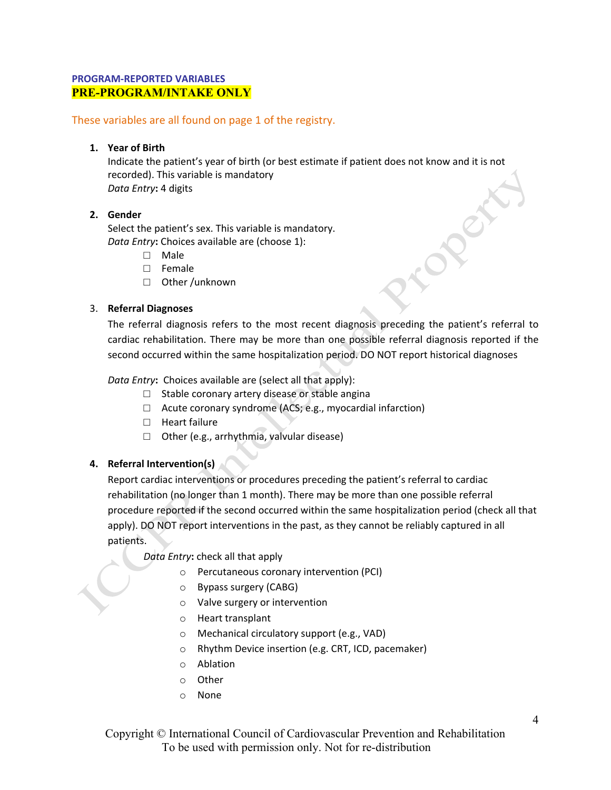# **PROGRAM‐REPORTED VARIABLES PRE-PROGRAM/INTAKE ONLY**

#### These variables are all found on page 1 of the registry.

#### **1. Year of Birth**

Indicate the patient's year of birth (or best estimate if patient does not know and it is not recorded). This variable is mandatory *Data Entry***:** 4 digits

#### **2. Gender**

Select the patient's sex. This variable is mandatory. *Data Entry***:** Choices available are (choose 1):

- □ Male
- □ Female
- □ Other /unknown

#### 3. **Referral Diagnoses**

The referral diagnosis refers to the most recent diagnosis preceding the patient's referral to cardiac rehabilitation. There may be more than one possible referral diagnosis reported if the second occurred within the same hospitalization period. DO NOT report historical diagnoses

*Data Entry***:** Choices available are (select all that apply):

- $\Box$  Stable coronary artery disease or stable angina
- $\Box$  Acute coronary syndrome (ACS; e.g., myocardial infarction)
- □ Heart failure
- □ Other (e.g., arrhythmia, valvular disease)

# **4. Referral Intervention(s)**

Report cardiac interventions or procedures preceding the patient's referral to cardiac rehabilitation (no longer than 1 month). There may be more than one possible referral procedure reported if the second occurred within the same hospitalization period (check all that apply). DO NOT report interventions in the past, as they cannot be reliably captured in all patients.

*Data Entry***:** check all that apply

- o Percutaneous coronary intervention (PCI)
- o Bypass surgery (CABG)
- o Valve surgery or intervention
- o Heart transplant
- o Mechanical circulatory support (e.g., VAD)
- o Rhythm Device insertion (e.g. CRT, ICD, pacemaker)
- o Ablation
- o Other
- o None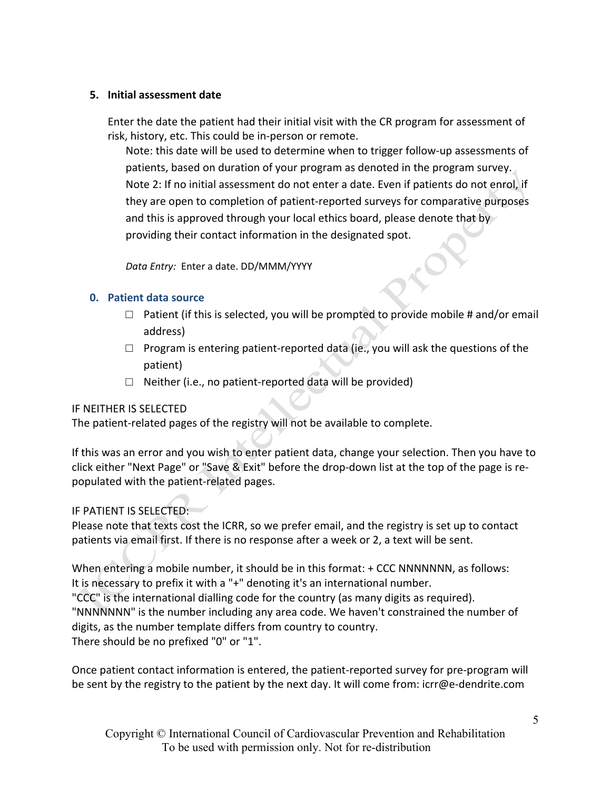# **5. Initial assessment date**

Enter the date the patient had their initial visit with the CR program for assessment of risk, history, etc. This could be in‐person or remote.

Note: this date will be used to determine when to trigger follow‐up assessments of patients, based on duration of your program as denoted in the program survey. Note 2: If no initial assessment do not enter a date. Even if patients do not enrol, if they are open to completion of patient‐reported surveys for comparative purposes and this is approved through your local ethics board, please denote that by providing their contact information in the designated spot.

*Data Entry:* Enter a date. DD/MMM/YYYY

# **0. Patient data source**

- $\Box$  Patient (if this is selected, you will be prompted to provide mobile # and/or email address)
- $\Box$  Program is entering patient-reported data (ie., you will ask the questions of the patient)
- $\Box$  Neither (i.e., no patient-reported data will be provided)

# IF NEITHER IS SELECTED

The patient-related pages of the registry will not be available to complete.

If this was an error and you wish to enter patient data, change your selection. Then you have to click either "Next Page" or "Save & Exit" before the drop‐down list at the top of the page is re‐ populated with the patient‐related pages.

# IF PATIENT IS SELECTED:

Please note that texts cost the ICRR, so we prefer email, and the registry is set up to contact patients via email first. If there is no response after a week or 2, a text will be sent.

When entering a mobile number, it should be in this format: + CCC NNNNNNN, as follows: It is necessary to prefix it with a "+" denoting it's an international number. "CCC" is the international dialling code for the country (as many digits as required). "NNNNNNN" is the number including any area code. We haven't constrained the number of digits, as the number template differs from country to country. There should be no prefixed "0" or "1".

Once patient contact information is entered, the patient‐reported survey for pre‐program will be sent by the registry to the patient by the next day. It will come from: icrr@e-dendrite.com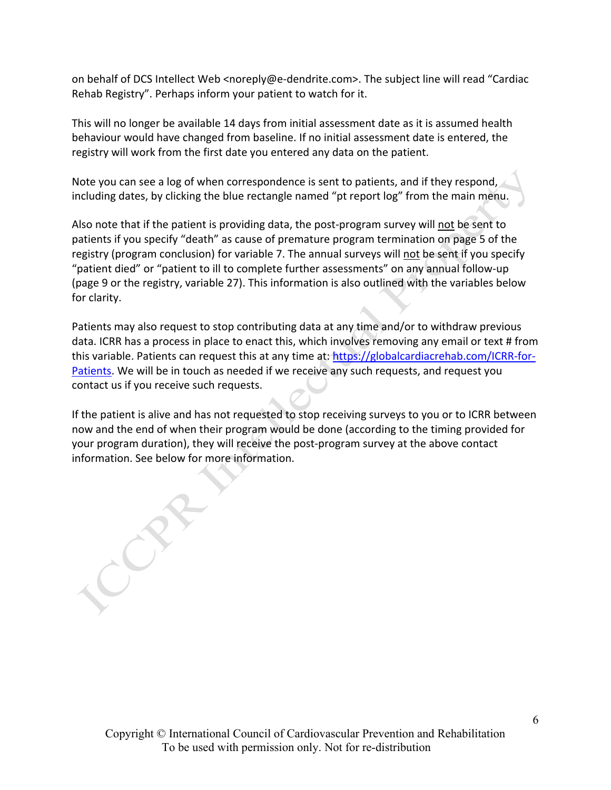on behalf of DCS Intellect Web <noreply@e‐dendrite.com>. The subject line will read "Cardiac Rehab Registry". Perhaps inform your patient to watch for it.

This will no longer be available 14 days from initial assessment date as it is assumed health behaviour would have changed from baseline. If no initial assessment date is entered, the registry will work from the first date you entered any data on the patient.

Note you can see a log of when correspondence is sent to patients, and if they respond, including dates, by clicking the blue rectangle named "pt report log" from the main menu.

Also note that if the patient is providing data, the post‐program survey will not be sent to patients if you specify "death" as cause of premature program termination on page 5 of the registry (program conclusion) for variable 7. The annual surveys will not be sent if you specify "patient died" or "patient to ill to complete further assessments" on any annual follow‐up (page 9 or the registry, variable 27). This information is also outlined with the variables below for clarity.

Patients may also request to stop contributing data at any time and/or to withdraw previous data. ICRR has a process in place to enact this, which involves removing any email or text # from this variable. Patients can request this at any time at: https://globalcardiacrehab.com/ICRR-for-Patients. We will be in touch as needed if we receive any such requests, and request you contact us if you receive such requests.

If the patient is alive and has not requested to stop receiving surveys to you or to ICRR between now and the end of when their program would be done (according to the timing provided for your program duration), they will receive the post‐program survey at the above contact information. See below for more information.

Copyright © International Council of Cardiovascular Prevention and Rehabilitation To be used with permission only. Not for re-distribution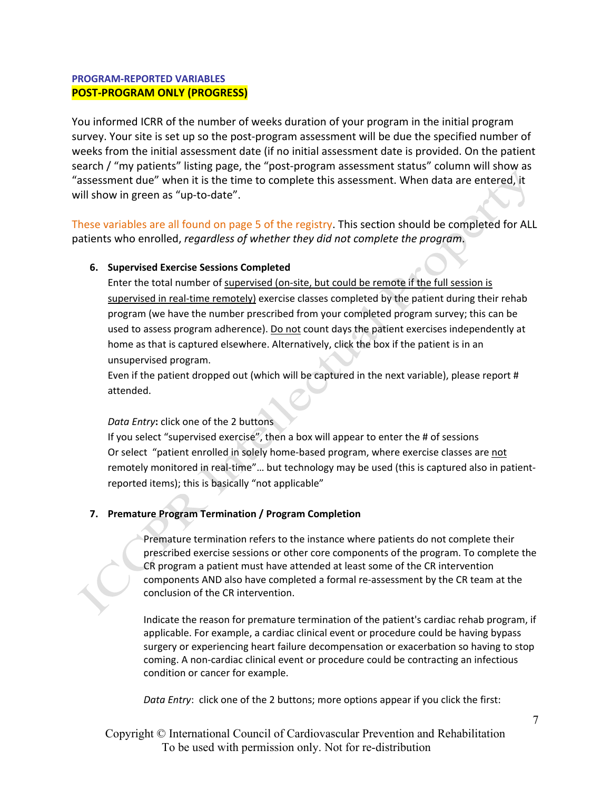# **PROGRAM‐REPORTED VARIABLES POST‐PROGRAM ONLY (PROGRESS)**

You informed ICRR of the number of weeks duration of your program in the initial program survey. Your site is set up so the post‐program assessment will be due the specified number of weeks from the initial assessment date (if no initial assessment date is provided. On the patient search / "my patients" listing page, the "post-program assessment status" column will show as "assessment due" when it is the time to complete this assessment. When data are entered, it will show in green as "up-to-date".

These variables are all found on page 5 of the registry. This section should be completed for ALL patients who enrolled, *regardless of whether they did not complete the program*.

#### **6. Supervised Exercise Sessions Completed**

Enter the total number of supervised (on-site, but could be remote if the full session is supervised in real-time remotely) exercise classes completed by the patient during their rehab program (we have the number prescribed from your completed program survey; this can be used to assess program adherence). Do not count days the patient exercises independently at home as that is captured elsewhere. Alternatively, click the box if the patient is in an unsupervised program.

Even if the patient dropped out (which will be captured in the next variable), please report # attended.

*Data Entry***:** click one of the 2 buttons

If you select "supervised exercise", then a box will appear to enter the # of sessions Or select "patient enrolled in solely home‐based program, where exercise classes are not remotely monitored in real‐time"… but technology may be used (this is captured also in patient‐ reported items); this is basically "not applicable"

#### **7. Premature Program Termination / Program Completion**

Premature termination refers to the instance where patients do not complete their prescribed exercise sessions or other core components of the program. To complete the CR program a patient must have attended at least some of the CR intervention components AND also have completed a formal re‐assessment by the CR team at the conclusion of the CR intervention.

Indicate the reason for premature termination of the patient's cardiac rehab program, if applicable. For example, a cardiac clinical event or procedure could be having bypass surgery or experiencing heart failure decompensation or exacerbation so having to stop coming. A non‐cardiac clinical event or procedure could be contracting an infectious condition or cancer for example.

*Data Entry*: click one of the 2 buttons; more options appear if you click the first: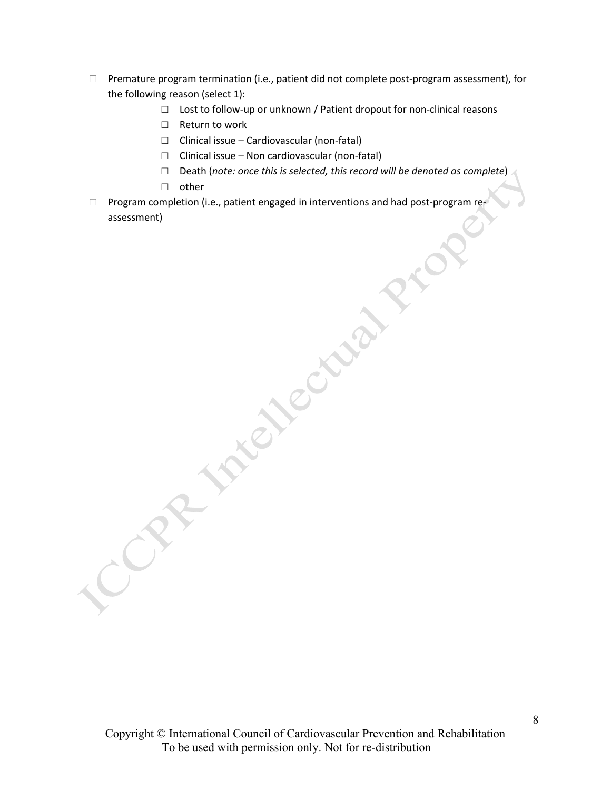- $\square$  Premature program termination (i.e., patient did not complete post-program assessment), for the following reason (select 1):
	- □ Lost to follow-up or unknown / Patient dropout for non-clinical reasons
	- □ Return to work
	- □ Clinical issue Cardiovascular (non‐fatal)
	- $\Box$  Clinical issue Non cardiovascular (non-fatal)
	- □ Death (*note: once this is selected, this record will be denoted as complete*)
	- □ other
- □ Program completion (i.e., patient engaged in interventions and had post‐program re‐ assessment) **INTELLECTION PTC**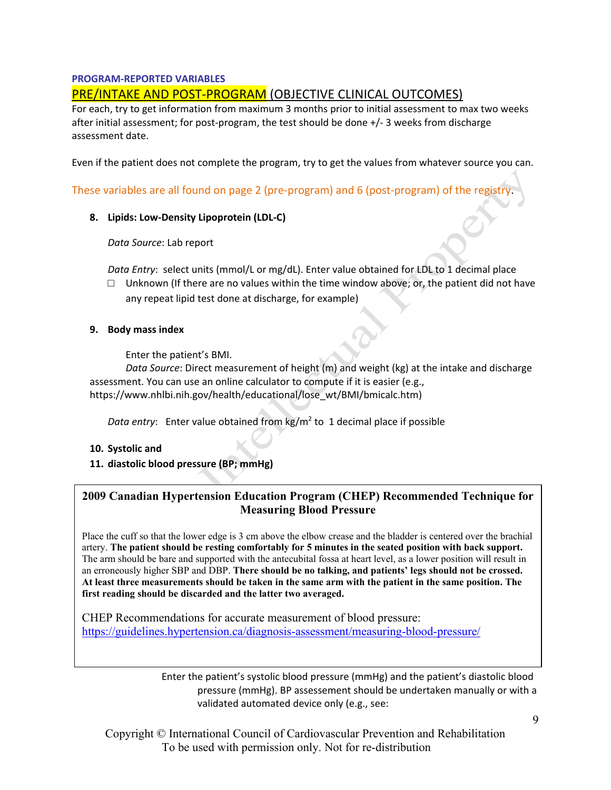# **PROGRAM‐REPORTED VARIABLES**

# PRE/INTAKE AND POST‐PROGRAM (OBJECTIVE CLINICAL OUTCOMES)

For each, try to get information from maximum 3 months prior to initial assessment to max two weeks after initial assessment; for post-program, the test should be done +/- 3 weeks from discharge assessment date.

Even if the patient does not complete the program, try to get the values from whatever source you can.

These variables are all found on page 2 (pre‐program) and 6 (post‐program) of the registry.

**8. Lipids: Low‐Density Lipoprotein (LDL‐C)**

*Data Source*: Lab report

*Data Entry*: select units (mmol/L or mg/dL). Enter value obtained for LDL to 1 decimal place

 $\square$  Unknown (If there are no values within the time window above; or, the patient did not have any repeat lipid test done at discharge, for example)

#### **9. Body mass index**

Enter the patient's BMI.

*Data Source*: Direct measurement of height (m) and weight (kg) at the intake and discharge assessment. You can use an online calculator to compute if it is easier (e.g., https://www.nhlbi.nih.gov/health/educational/lose\_wt/BMI/bmicalc.htm)

*Data entry*: Enter value obtained from kg/m<sup>2</sup> to 1 decimal place if possible

- **10. Systolic and**
- **11. diastolic blood pressure (BP; mmHg)**

# **2009 Canadian Hypertension Education Program (CHEP) Recommended Technique for Measuring Blood Pressure**

Place the cuff so that the lower edge is 3 cm above the elbow crease and the bladder is centered over the brachial artery. **The patient should be resting comfortably for 5 minutes in the seated position with back support.** The arm should be bare and supported with the antecubital fossa at heart level, as a lower position will result in an erroneously higher SBP and DBP. **There should be no talking, and patients' legs should not be crossed. At least three measurements should be taken in the same arm with the patient in the same position. The first reading should be discarded and the latter two averaged.**

CHEP Recommendations for accurate measurement of blood pressure: https://guidelines.hypertension.ca/diagnosis-assessment/measuring-blood-pressure/

> Enter the patient's systolic blood pressure (mmHg) and the patient's diastolic blood pressure (mmHg). BP assessement should be undertaken manually or with a validated automated device only (e.g., see: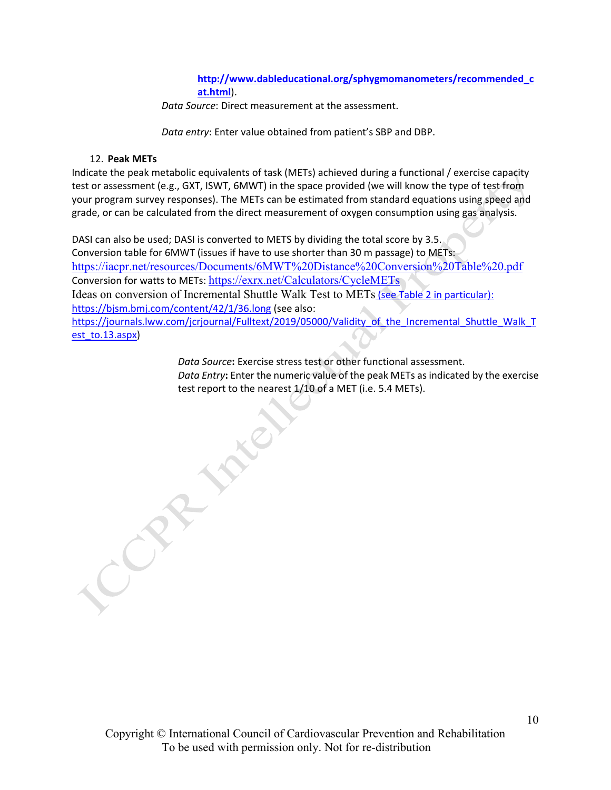**http://www.dableducational.org/sphygmomanometers/recommended\_c at.html**).

*Data Source*: Direct measurement at the assessment.

*Data entry*: Enter value obtained from patient's SBP and DBP.

#### 12. **Peak METs**

Indicate the peak metabolic equivalents of task (METs) achieved during a functional / exercise capacity test or assessment (e.g., GXT, ISWT, 6MWT) in the space provided (we will know the type of test from your program survey responses). The METs can be estimated from standard equations using speed and grade, or can be calculated from the direct measurement of oxygen consumption using gas analysis.

DASI can also be used; DASI is converted to METS by dividing the total score by 3.5. Conversion table for 6MWT (issues if have to use shorter than 30 m passage) to METs: https://iacpr.net/resources/Documents/6MWT%20Distance%20Conversion%20Table%20.pdf Conversion for watts to METs: https://exrx.net/Calculators/CycleMETs Ideas on conversion of Incremental Shuttle Walk Test to METs (see Table 2 in particular): https://bjsm.bmj.com/content/42/1/36.long (see also: https://journals.lww.com/jcrjournal/Fulltext/2019/05000/Validity of the Incremental Shuttle Walk T est\_to.13.aspx)

> *Data Source***:** Exercise stress test or other functional assessment. *Data Entry***:** Enter the numeric value of the peak METs as indicated by the exercise test report to the nearest 1/10 of a MET (i.e. 5.4 METs).

RANT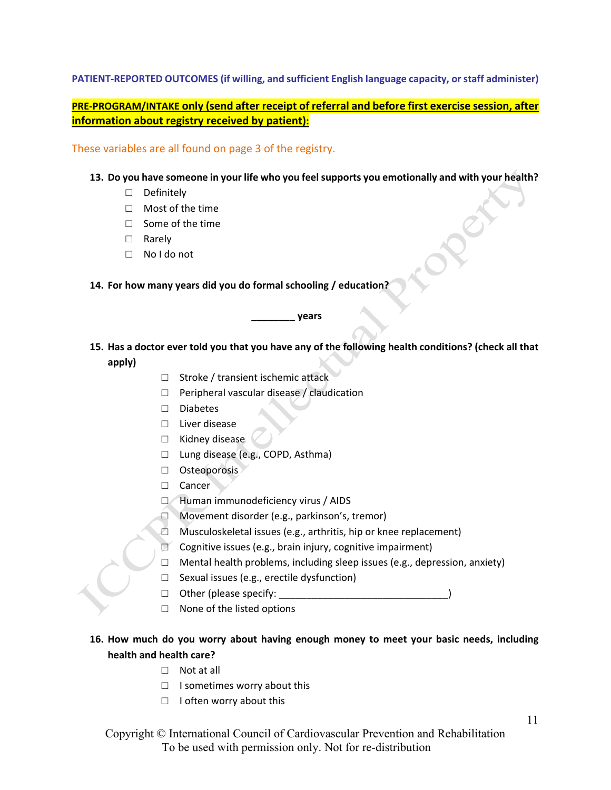#### **PATIENT‐REPORTED OUTCOMES (if willing, and sufficient English language capacity, orstaff administer)**

# **PRE‐PROGRAM/INTAKE only (send after receipt of referral and before first exercise session, after information about registry received by patient):**

These variables are all found on page 3 of the registry.

#### **13. Do you have someone in your life who you feelsupports you emotionally and with your health?**

- □ Definitely
- □ Most of the time
- □ Some of the time
- □ Rarely
- □ No I do not

#### **14. For how many years did you do formal schooling / education?**

#### **\_\_\_\_\_\_\_\_ years**

- 15. Has a doctor ever told you that you have any of the following health conditions? (check all that **apply)**
	- □ Stroke / transient ischemic attack
	- $\Box$  Peripheral vascular disease / claudication
	- □ Diabetes
	- □ Liver disease
	- □ Kidney disease
	- □ Lung disease (e.g., COPD, Asthma)
	- □ Osteoporosis
	- □ Cancer
	- □ Human immunodeficiency virus / AIDS
	- □ Movement disorder (e.g., parkinson's, tremor)
	- □ Musculoskeletal issues (e.g., arthritis, hip or knee replacement)
	- $\Box$  Cognitive issues (e.g., brain injury, cognitive impairment)
	- $\Box$  Mental health problems, including sleep issues (e.g., depression, anxiety)
	- □ Sexual issues (e.g., erectile dysfunction)
	- $\Box$  Other (please specify:
	- □ None of the listed options

# **16. How much do you worry about having enough money to meet your basic needs, including health and health care?**

- □ Not at all
- □ I sometimes worry about this
- □ I often worry about this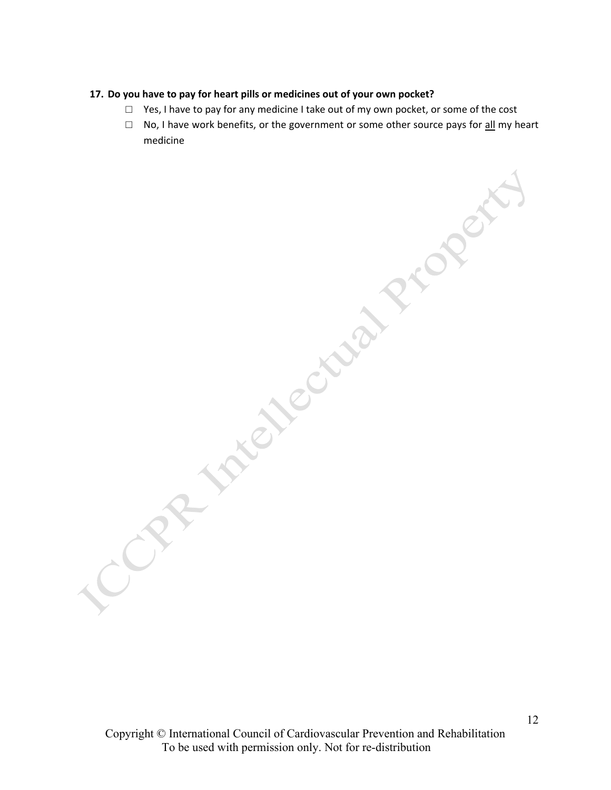#### **17. Do you have to pay for heart pills or medicines out of your own pocket?**

- $\Box$  Yes, I have to pay for any medicine I take out of my own pocket, or some of the cost
- □ No, I have work benefits, or the government or some other source pays for <u>all</u> my heart medicine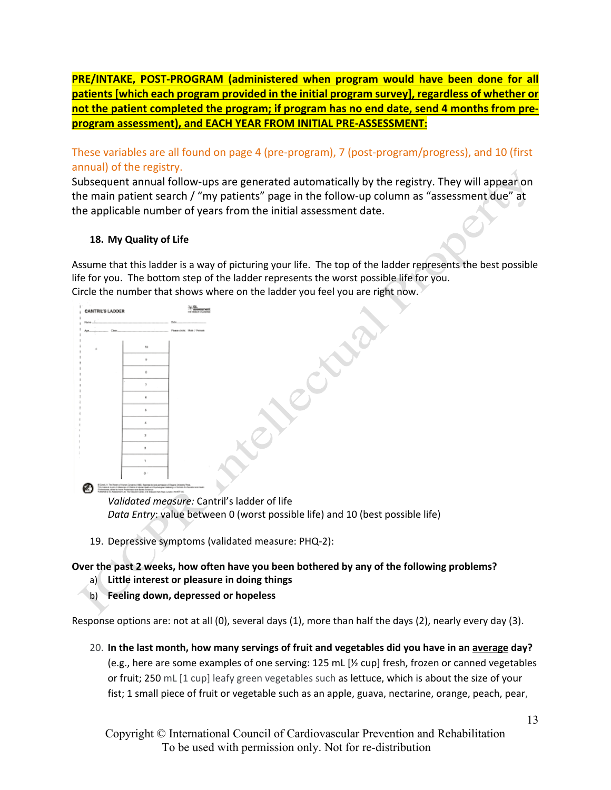**PRE/INTAKE, POST‐PROGRAM (administered when program would have been done for all patients [which each program provided in the initial program survey], regardless of whether or not the patient completed the program; if program has no end date, send 4 months from pre‐ program assessment), and EACH YEAR FROM INITIAL PRE‐ASSESSMENT:**

These variables are all found on page 4 (pre‐program), 7 (post‐program/progress), and 10 (first annual) of the registry.

Subsequent annual follow-ups are generated automatically by the registry. They will appear on the main patient search / "my patients" page in the follow‐up column as "assessment due" at the applicable number of years from the initial assessment date.

# **18. My Quality of Life**

Assume that this ladder is a way of picturing your life. The top of the ladder represents the best possible life for you. The bottom step of the ladder represents the worst possible life for you. Circle the number that shows where on the ladder you feel you are right now.



*Data Entry*: value between 0 (worst possible life) and 10 (best possible life)

19. Depressive symptoms (validated measure: PHQ‐2):

# **Over the past 2 weeks, how often have you been bothered by any of the following problems?**

- a) **Little interest or pleasure in doing things**
- b) **Feeling down, depressed or hopeless**

Response options are: not at all (0), several days (1), more than half the days (2), nearly every day (3).

20. **In the last month, how many servings of fruit and vegetables did you have in an average day?** (e.g., here are some examples of one serving: 125 mL [½ cup] fresh, frozen or canned vegetables or fruit; 250 mL [1 cup] leafy green vegetables such as lettuce, which is about the size of your fist; 1 small piece of fruit or vegetable such as an apple, guava, nectarine, orange, peach, pear,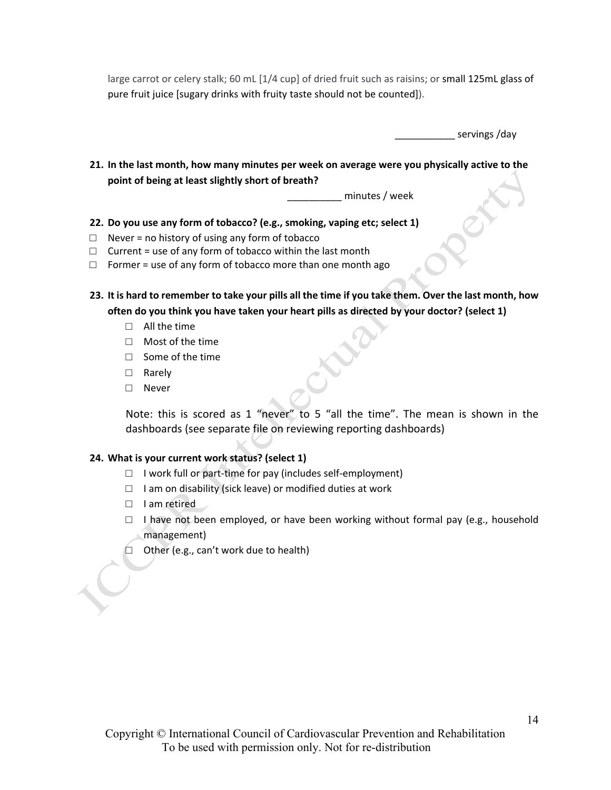large carrot or celery stalk; 60 mL [1/4 cup] of dried fruit such as raisins; or small 125mL glass of pure fruit juice [sugary drinks with fruity taste should not be counted]).

servings /day

**21. In the last month, how many minutes per week on average were you physically active to the point of being at least slightly short of breath?** 

\_\_\_\_\_\_\_\_\_\_ minutes / week

- **22. Do you use any form of tobacco? (e.g., smoking, vaping etc; select 1)**
- $\Box$  Never = no history of using any form of tobacco
- $\Box$  Current = use of any form of tobacco within the last month
- $\Box$  Former = use of any form of tobacco more than one month ago
- 23. It is hard to remember to take your pills all the time if you take them. Over the last month, how **often do you think you have taken your heart pills as directed by your doctor? (select 1)**
	- $\Box$  All the time
	- □ Most of the time
	- □ Some of the time
	- □ Rarely
	- □ Never

Note: this is scored as 1 "never" to 5 "all the time". The mean is shown in the dashboards (see separate file on reviewing reporting dashboards)

#### **24. What is your current work status? (select 1)**

- $\Box$  I work full or part-time for pay (includes self-employment)
- $\Box$  I am on disability (sick leave) or modified duties at work
- □ I am retired

- $\Box$  I have not been employed, or have been working without formal pay (e.g., household management)
- □ Other (e.g., can't work due to health)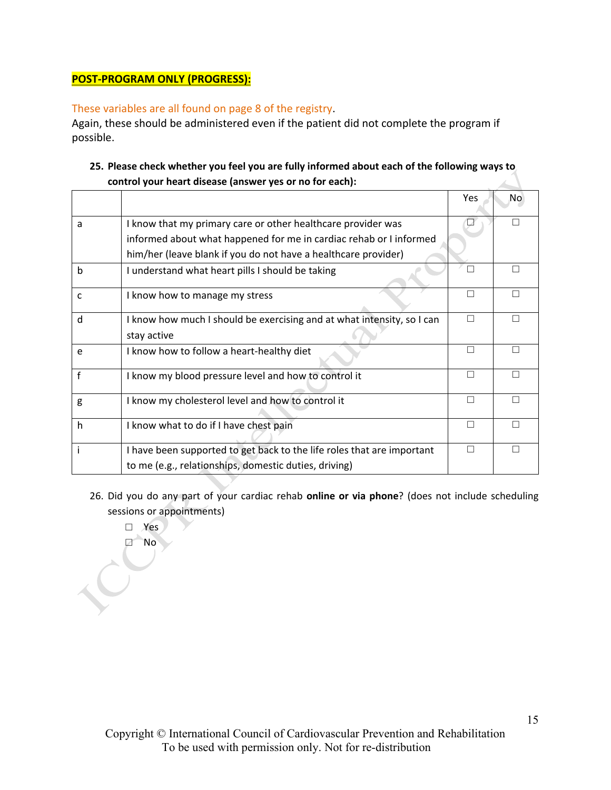# **POST‐PROGRAM ONLY (PROGRESS):**

# These variables are all found on page 8 of the registry.

Again, these should be administered even if the patient did not complete the program if possible.

# **25. Please check whether you feel you are fully informed about each of the following ways to control your heart disease (answer yes or no for each):**

|   |                                                                        | <b>Yes</b> | No |
|---|------------------------------------------------------------------------|------------|----|
| a | I know that my primary care or other healthcare provider was           | L          |    |
|   | informed about what happened for me in cardiac rehab or I informed     |            |    |
|   | him/her (leave blank if you do not have a healthcare provider)         |            |    |
| b | I understand what heart pills I should be taking                       |            |    |
| c | I know how to manage my stress                                         |            |    |
| d | I know how much I should be exercising and at what intensity, so I can | П          |    |
|   | stay active                                                            |            |    |
| e | I know how to follow a heart-healthy diet                              | П          |    |
| f | I know my blood pressure level and how to control it                   | П          |    |
| g | I know my cholesterol level and how to control it                      | П          |    |
| h | I know what to do if I have chest pain                                 | П          |    |
|   | I have been supported to get back to the life roles that are important | П          |    |
|   | to me (e.g., relationships, domestic duties, driving)                  |            |    |

- 26. Did you do any part of your cardiac rehab **online or via phone**? (does not include scheduling sessions or appointments)
- □ Yes □ No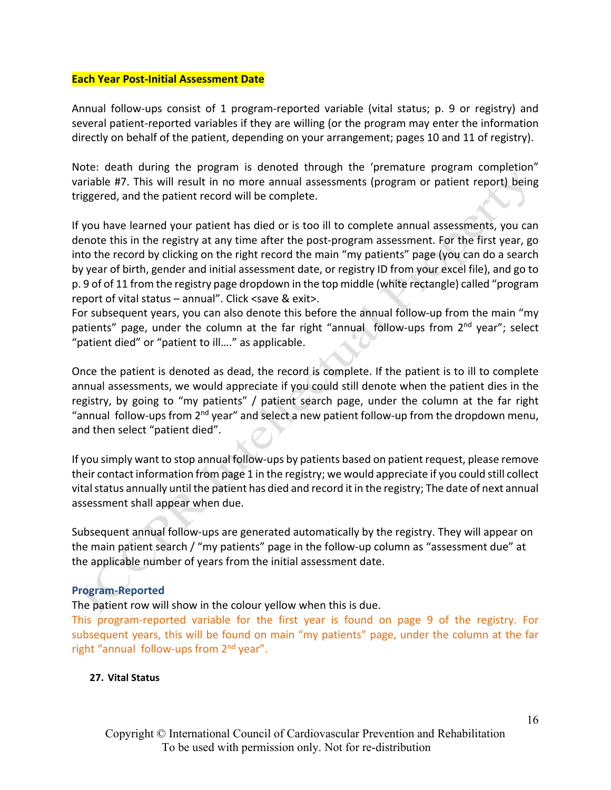#### **Each Year Post‐Initial Assessment Date**

Annual follow‐ups consist of 1 program‐reported variable (vital status; p. 9 or registry) and several patient‐reported variables if they are willing (or the program may enter the information directly on behalf of the patient, depending on your arrangement; pages 10 and 11 of registry).

Note: death during the program is denoted through the 'premature program completion" variable #7. This will result in no more annual assessments (program or patient report) being triggered, and the patient record will be complete.

If you have learned your patient has died or is too ill to complete annual assessments, you can denote this in the registry at any time after the post‐program assessment. For the first year, go into the record by clicking on the right record the main "my patients" page (you can do a search by year of birth, gender and initial assessment date, or registry ID from your excel file), and go to p. 9 of of 11 from the registry page dropdown in the top middle (white rectangle) called "program report of vital status – annual". Click <save & exit>.

For subsequent years, you can also denote this before the annual follow-up from the main "my patients" page, under the column at the far right "annual follow-ups from 2<sup>nd</sup> year"; select "patient died" or "patient to ill…." as applicable.

Once the patient is denoted as dead, the record is complete. If the patient is to ill to complete annual assessments, we would appreciate if you could still denote when the patient dies in the registry, by going to "my patients" / patient search page, under the column at the far right "annual follow-ups from  $2^{nd}$  year" and select a new patient follow-up from the dropdown menu, and then select "patient died".

If you simply want to stop annual follow‐ups by patients based on patient request, please remove their contact information from page 1 in the registry; we would appreciate if you could still collect vital status annually until the patient has died and record it in the registry; The date of next annual assessment shall appear when due.

Subsequent annual follow‐ups are generated automatically by the registry. They will appear on the main patient search / "my patients" page in the follow‐up column as "assessment due" at the applicable number of years from the initial assessment date.

# **Program‐Reported**

The patient row will show in the colour yellow when this is due.

This program‐reported variable for the first year is found on page 9 of the registry. For subsequent years, this will be found on main "my patients" page, under the column at the far right "annual follow-ups from 2<sup>nd</sup> year".

# **27. Vital Status**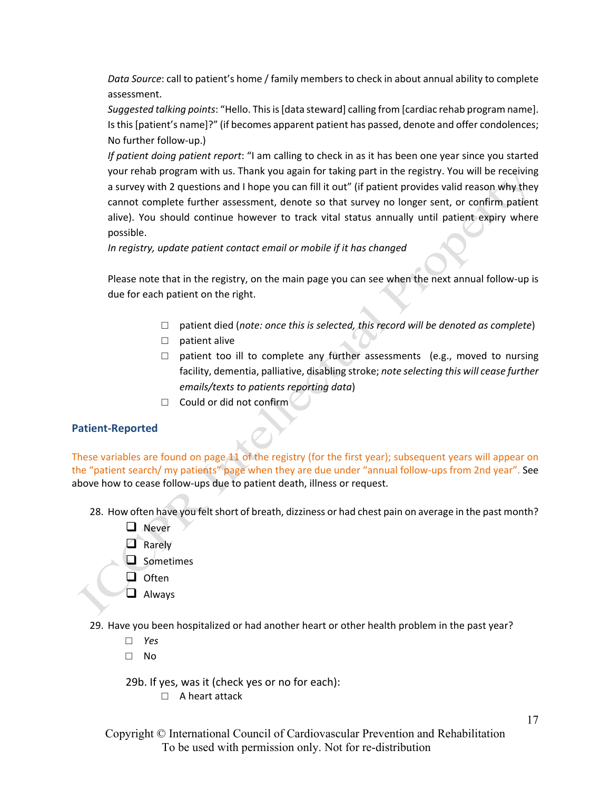*Data Source*: call to patient's home / family members to check in about annual ability to complete assessment.

*Suggested talking points*: "Hello. Thisis[data steward] calling from [cardiac rehab program name]. Isthis[patient's name]?" (if becomes apparent patient has passed, denote and offer condolences; No further follow‐up.)

*If patient doing patient report*: "I am calling to check in as it has been one year since you started your rehab program with us. Thank you again for taking part in the registry. You will be receiving a survey with 2 questions and I hope you can fill it out" (if patient provides valid reason why they cannot complete further assessment, denote so that survey no longer sent, or confirm patient alive). You should continue however to track vital status annually until patient expiry where possible.

*In registry, update patient contact email or mobile if it has changed*

Please note that in the registry, on the main page you can see when the next annual follow‐up is due for each patient on the right.

- □ patient died (*note: once this is selected, this record will be denoted as complete*)
- □ patient alive
- $\square$  patient too ill to complete any further assessments (e.g., moved to nursing facility, dementia, palliative, disabling stroke; *note selecting this will cease further emails/texts to patients reporting data*)
- $\Box$  Could or did not confirm

# **Patient‐Reported**

These variables are found on page 11 of the registry (for the first year); subsequent years will appear on the "patient search/ my patients" page when they are due under "annual follow-ups from 2nd year". See above how to cease follow‐ups due to patient death, illness or request.

- 28. How often have you felt short of breath, dizziness or had chest pain on average in the past month?
	- **Q** Never
	- **Q** Rarely
	- $\Box$  Sometimes
	- $\Box$  Often
	- **Q** Always
- 29. Have you been hospitalized or had another heart or other health problem in the past year?
	- □ *Yes*
	- □ No

29b. If yes, was it (check yes or no for each):

- □ A heart attack
- Copyright © International Council of Cardiovascular Prevention and Rehabilitation To be used with permission only. Not for re-distribution